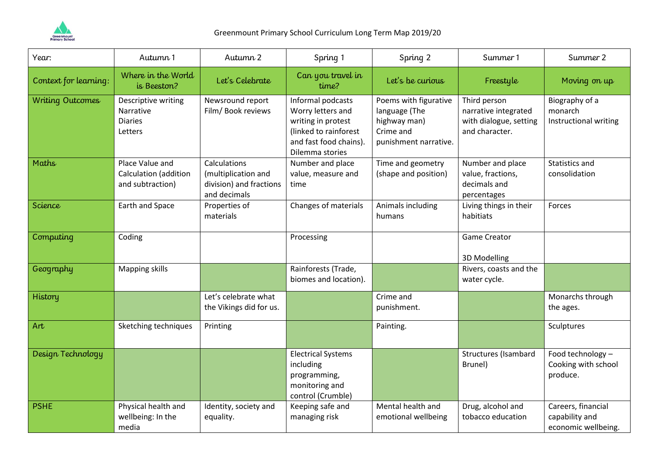

| Year:                   | Autumn 1                                                      | Autumn 2                                                                       | Spring 1                                                                                                                           | Spring 2                                                                                     | Summer 1                                                                         | Summer 2                                                    |
|-------------------------|---------------------------------------------------------------|--------------------------------------------------------------------------------|------------------------------------------------------------------------------------------------------------------------------------|----------------------------------------------------------------------------------------------|----------------------------------------------------------------------------------|-------------------------------------------------------------|
| Context for learning:   | Where in the World<br>is Beeston?                             | Let's Celebrate                                                                | Can you travel in<br>time?                                                                                                         | Let's be curious                                                                             | Freestyle                                                                        | Moving on up                                                |
| <b>Writing Outcomes</b> | Descriptive writing<br>Narrative<br><b>Diaries</b><br>Letters | Newsround report<br>Film/ Book reviews                                         | Informal podcasts<br>Worry letters and<br>writing in protest<br>(linked to rainforest<br>and fast food chains).<br>Dilemma stories | Poems with figurative<br>language (The<br>highway man)<br>Crime and<br>punishment narrative. | Third person<br>narrative integrated<br>with dialogue, setting<br>and character. | Biography of a<br>monarch<br>Instructional writing          |
| Maths                   | Place Value and<br>Calculation (addition<br>and subtraction)  | Calculations<br>(multiplication and<br>division) and fractions<br>and decimals | Number and place<br>value, measure and<br>time                                                                                     | Time and geometry<br>(shape and position)                                                    | Number and place<br>value, fractions,<br>decimals and<br>percentages             | <b>Statistics and</b><br>consolidation                      |
| Science                 | Earth and Space                                               | Properties of<br>materials                                                     | Changes of materials                                                                                                               | Animals including<br>humans                                                                  | Living things in their<br>habitiats                                              | Forces                                                      |
| Computing               | Coding                                                        |                                                                                | Processing                                                                                                                         |                                                                                              | <b>Game Creator</b><br>3D Modelling                                              |                                                             |
| Geography               | <b>Mapping skills</b>                                         |                                                                                | Rainforests (Trade,<br>biomes and location).                                                                                       |                                                                                              | Rivers, coasts and the<br>water cycle.                                           |                                                             |
| History                 |                                                               | Let's celebrate what<br>the Vikings did for us.                                |                                                                                                                                    | Crime and<br>punishment.                                                                     |                                                                                  | Monarchs through<br>the ages.                               |
| Art                     | Sketching techniques                                          | Printing                                                                       |                                                                                                                                    | Painting.                                                                                    |                                                                                  | Sculptures                                                  |
| Design Technology       |                                                               |                                                                                | <b>Electrical Systems</b><br>including<br>programming,<br>monitoring and<br>control (Crumble)                                      |                                                                                              | <b>Structures (Isambard</b><br>Brunel)                                           | Food technology -<br>Cooking with school<br>produce.        |
| <b>PSHE</b>             | Physical health and<br>wellbeing: In the<br>media             | Identity, society and<br>equality.                                             | Keeping safe and<br>managing risk                                                                                                  | Mental health and<br>emotional wellbeing                                                     | Drug, alcohol and<br>tobacco education                                           | Careers, financial<br>capability and<br>economic wellbeing. |